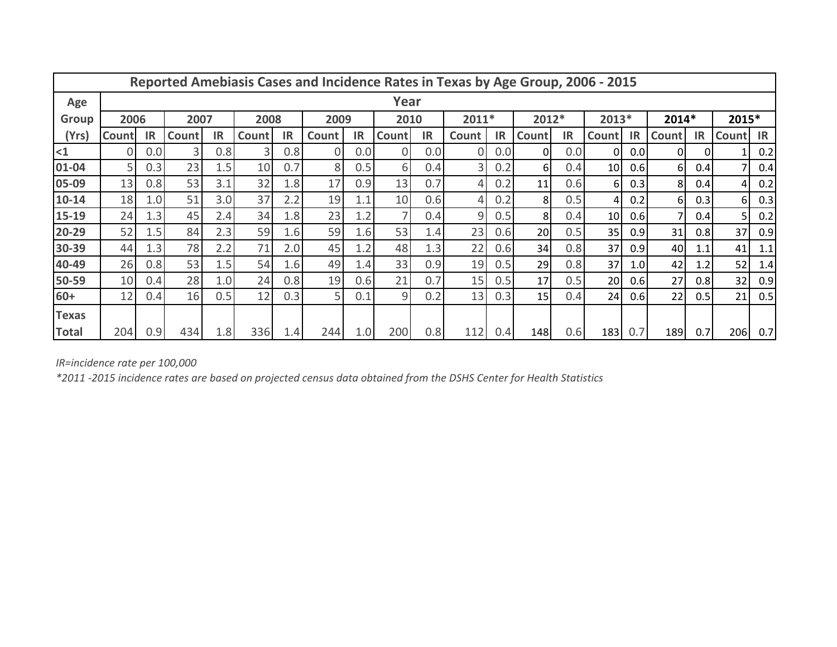| Reported Amebiasis Cases and Incidence Rates in Texas by Age Group, 2006 - 2015 |       |           |              |           |              |           |       |           |        |           |                |           |                |           |                 |                  |              |           |              |           |
|---------------------------------------------------------------------------------|-------|-----------|--------------|-----------|--------------|-----------|-------|-----------|--------|-----------|----------------|-----------|----------------|-----------|-----------------|------------------|--------------|-----------|--------------|-----------|
| Age                                                                             |       |           |              |           |              |           |       |           | Year   |           |                |           |                |           |                 |                  |              |           |              |           |
| <b>Group</b>                                                                    | 2006  |           | 2007         |           | 2008         |           | 2009  |           | 2010   |           | $2011*$        |           | 2012*          |           | 2013*           |                  | 2014*        |           | 2015*        |           |
| (Yrs)                                                                           | Count | <b>IR</b> | <b>Count</b> | <b>IR</b> | <b>Count</b> | <b>IR</b> | Count | <b>IR</b> | Countl | <b>IR</b> | Count          | <b>IR</b> | <b>Count</b>   | <b>IR</b> | <b>Count</b>    | IR               | <b>Count</b> | <b>IR</b> | <b>Count</b> | <b>IR</b> |
| $\leq$ 1                                                                        |       | 0.0       | 31           | 0.8       | 3            | 0.8       | 0     | 0.0       | 0      | 0.0       | 0              | 0.0       | 01             | 0.0       | $\Omega$        | 0.0              | $\Omega$     |           |              | 0.2       |
| 01-04                                                                           | 5     | 0.3       | 23           | 1.5       | 10           | 0.7       | 8     | 0.5       | 6      | 0.4       | $\overline{3}$ | 0.2       | 6I             | 0.4       | 10 <sup>1</sup> | 0.6              | 61           | 0.4       | 7            | 0.4       |
| 05-09                                                                           | 13    | 0.8       | 53           | 3.1       | 32           | 1.8       | 17    | 0.9       | 13     | 0.7       |                | 0.2       | 11             | 0.6       | 61              | 0.3              | 81           | 0.4       | 4            | 0.2       |
| $10 - 14$                                                                       | 18    | 1.0       | 51           | 3.0       | 37           | 2.2       | 19    | 1.1       | 10     | 0.6       |                | 0.2       | 81             | 0.5       | $\overline{4}$  | 0.2              | 6I           | 0.3       | 6            | 0.3       |
| 15-19                                                                           | 24    | 1.3       | 45           | 2.4       | 34           | 1.8       | 23    | 1.2       | 7      | 0.4       | 9              | 0.5       | 8 <sup>1</sup> | 0.4       | 10 <sup>1</sup> | 0.6              |              | 0.4       | 5            | 0.2       |
| 20-29                                                                           | 52    | 1.5       | 84           | 2.3       | 59           | 1.6       | 59    | 1.6       | 53     | 1.4       | 23             | 0.6       | 20             | 0.5       | 35              | 0.9 <sub>l</sub> | 31           | 0.8       | 37           | 0.9       |
| 30-39                                                                           | 44    | 1.3       | 78           | 2.2       | 71           | 2.0       | 45    | 1.2       | 48     | 1.3       | 22             | 0.6       | 34             | 0.8       | 37              | 0.9              | 40           | 1.1       | 41           | 1.1       |
| 40-49                                                                           | 26    | 0.8       | 53           | 1.5       | 54           | 1.6       | 49    | 1.4       | 33     | 0.9       | 19             | 0.5       | 29             | 0.8       | 37              | 1.0 <sub>l</sub> | 42           | 1.2       | 52           | 1.4       |
| 50-59                                                                           | 10    | 0.4       | 28           | 1.0       | 24           | 0.8       | 19    | 0.6       | 21     | 0.7       | 15             | 0.5       | 17             | 0.5       | 20 <sup>1</sup> | 0.6              | 27           | 0.8       | 32           | 0.9       |
| $60+$                                                                           | 12    | 0.4       | 16           | 0.5       | 12           | 0.3       | 5     | 0.1       | 9      | 0.2       | 13             | 0.3       | 15             | 0.4       | 24              | 0.6              | 22           | 0.5       | 21           | 0.5       |
| Texas                                                                           |       |           |              |           |              |           |       |           |        |           |                |           |                |           |                 |                  |              |           |              |           |
| <b>Total</b>                                                                    | 204   | 0.9       | 434          | 1.8       | 336          | 1.4       | 244   | 1.0       | 200    | 0.8       | 112            | 0.4       | 148            | 0.6       | 183             | 0.7              | 189          | 0.7       | 206          | 0.7       |

*IR=incidence rate per 100,000*

*\*2011 -2015 incidence rates are based on projected census data obtained from the DSHS Center for Health Statistics*